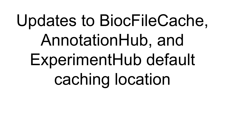# Updates to BiocFileCache, AnnotationHub, and ExperimentHub default caching location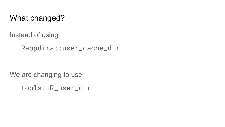### What changed?

Instead of using

Rappdirs::user\_cache\_dir

We are changing to use

tools::R\_user\_dir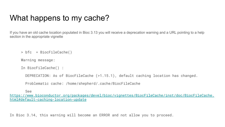## What happens to my cache?

If you have an old cache location populated in Bioc 3.13 you will receive a deprecation warning and a URL pointing to a help section in the appropriate vignette

```
> bfc = BiocFileCache()
```
Warning message:

```
In BiocFileCache() :
```
DEPRECATION: As of BiocFileCache (>1.15.1), default caching location has changed.

Problematic cache: /home/shepherd/.cache/BiocFileCache

See

[https://www.bioconductor.org/packages/devel/bioc/vignettes/BiocFileCache/inst/doc/BiocFileCache.](https://www.bioconductor.org/packages/devel/bioc/vignettes/BiocFileCache/inst/doc/BiocFileCache.html#default-caching-location-update) [html#default-caching-location-update](https://www.bioconductor.org/packages/devel/bioc/vignettes/BiocFileCache/inst/doc/BiocFileCache.html#default-caching-location-update)

In Bioc 3.14, this warning will become an ERROR and not allow you to proceed.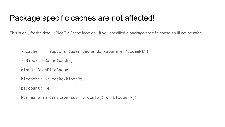#### Package specific caches are not affected!

This is only for the default BiocFileCache location. If you specified a package specific cache it will not be affect

> cache = rappdirs::user\_cache\_dir(appname="biomaRt")

> BiocFileCache(cache)

class: BiocFileCache

bfccache: ~/.cache/biomaRt

bfccount: 14

For more information see: bfcinfo() or bfcquery()